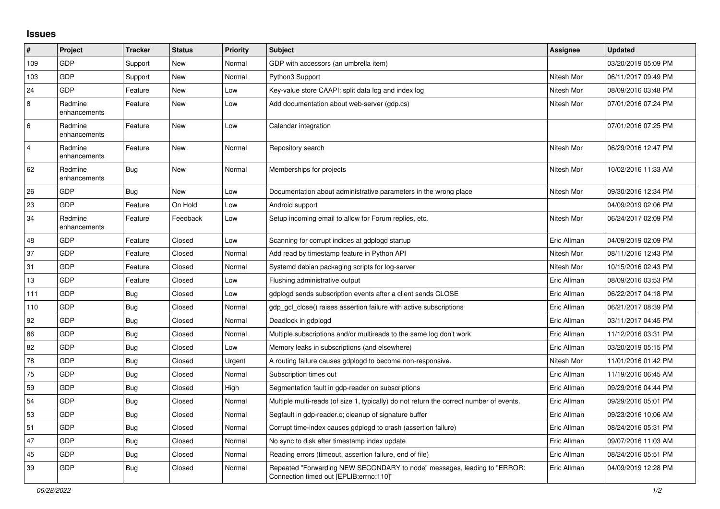## **Issues**

| #              | Project                 | <b>Tracker</b> | <b>Status</b> | <b>Priority</b> | Subject                                                                                                             | <b>Assignee</b> | <b>Updated</b>      |
|----------------|-------------------------|----------------|---------------|-----------------|---------------------------------------------------------------------------------------------------------------------|-----------------|---------------------|
| 109            | <b>GDP</b>              | Support        | New           | Normal          | GDP with accessors (an umbrella item)                                                                               |                 | 03/20/2019 05:09 PM |
| 103            | <b>GDP</b>              | Support        | New           | Normal          | Python3 Support                                                                                                     | Nitesh Mor      | 06/11/2017 09:49 PM |
| 24             | <b>GDP</b>              | Feature        | New           | Low             | Key-value store CAAPI: split data log and index log                                                                 | Nitesh Mor      | 08/09/2016 03:48 PM |
| 8              | Redmine<br>enhancements | Feature        | New           | Low             | Add documentation about web-server (gdp.cs)                                                                         | Nitesh Mor      | 07/01/2016 07:24 PM |
| $\,6$          | Redmine<br>enhancements | Feature        | New           | Low             | Calendar integration                                                                                                |                 | 07/01/2016 07:25 PM |
| $\overline{4}$ | Redmine<br>enhancements | Feature        | <b>New</b>    | Normal          | Repository search                                                                                                   | Nitesh Mor      | 06/29/2016 12:47 PM |
| 62             | Redmine<br>enhancements | Bug            | New           | Normal          | Memberships for projects                                                                                            | Nitesh Mor      | 10/02/2016 11:33 AM |
| 26             | <b>GDP</b>              | Bug            | New           | Low             | Documentation about administrative parameters in the wrong place                                                    | Nitesh Mor      | 09/30/2016 12:34 PM |
| 23             | GDP                     | Feature        | On Hold       | Low             | Android support                                                                                                     |                 | 04/09/2019 02:06 PM |
| 34             | Redmine<br>enhancements | Feature        | Feedback      | Low             | Setup incoming email to allow for Forum replies, etc.                                                               | Nitesh Mor      | 06/24/2017 02:09 PM |
| 48             | <b>GDP</b>              | Feature        | Closed        | Low             | Scanning for corrupt indices at gdplogd startup                                                                     | Eric Allman     | 04/09/2019 02:09 PM |
| 37             | <b>GDP</b>              | Feature        | Closed        | Normal          | Add read by timestamp feature in Python API                                                                         | Nitesh Mor      | 08/11/2016 12:43 PM |
| 31             | <b>GDP</b>              | Feature        | Closed        | Normal          | Systemd debian packaging scripts for log-server                                                                     | Nitesh Mor      | 10/15/2016 02:43 PM |
| 13             | GDP                     | Feature        | Closed        | Low             | Flushing administrative output                                                                                      | Eric Allman     | 08/09/2016 03:53 PM |
| 111            | <b>GDP</b>              | <b>Bug</b>     | Closed        | Low             | gdplogd sends subscription events after a client sends CLOSE                                                        | Eric Allman     | 06/22/2017 04:18 PM |
| 110            | <b>GDP</b>              | <b>Bug</b>     | Closed        | Normal          | gdp gcl close() raises assertion failure with active subscriptions                                                  | Eric Allman     | 06/21/2017 08:39 PM |
| 92             | <b>GDP</b>              | <b>Bug</b>     | Closed        | Normal          | Deadlock in gdplogd                                                                                                 | Eric Allman     | 03/11/2017 04:45 PM |
| 86             | <b>GDP</b>              | <b>Bug</b>     | Closed        | Normal          | Multiple subscriptions and/or multireads to the same log don't work                                                 | Eric Allman     | 11/12/2016 03:31 PM |
| 82             | GDP                     | Bug            | Closed        | Low             | Memory leaks in subscriptions (and elsewhere)                                                                       | Eric Allman     | 03/20/2019 05:15 PM |
| 78             | <b>GDP</b>              | Bug            | Closed        | Urgent          | A routing failure causes gdplogd to become non-responsive.                                                          | Nitesh Mor      | 11/01/2016 01:42 PM |
| 75             | <b>GDP</b>              | Bug            | Closed        | Normal          | Subscription times out                                                                                              | Eric Allman     | 11/19/2016 06:45 AM |
| 59             | GDP                     | <b>Bug</b>     | Closed        | High            | Segmentation fault in gdp-reader on subscriptions                                                                   | Eric Allman     | 09/29/2016 04:44 PM |
| 54             | <b>GDP</b>              | <b>Bug</b>     | Closed        | Normal          | Multiple multi-reads (of size 1, typically) do not return the correct number of events.                             | Eric Allman     | 09/29/2016 05:01 PM |
| 53             | GDP                     | <b>Bug</b>     | Closed        | Normal          | Segfault in gdp-reader.c; cleanup of signature buffer                                                               | Eric Allman     | 09/23/2016 10:06 AM |
| 51             | <b>GDP</b>              | Bug            | Closed        | Normal          | Corrupt time-index causes gdplogd to crash (assertion failure)                                                      | Eric Allman     | 08/24/2016 05:31 PM |
| 47             | GDP                     | Bug            | Closed        | Normal          | No sync to disk after timestamp index update                                                                        | Eric Allman     | 09/07/2016 11:03 AM |
| 45             | <b>GDP</b>              | <b>Bug</b>     | Closed        | Normal          | Reading errors (timeout, assertion failure, end of file)                                                            | Eric Allman     | 08/24/2016 05:51 PM |
| 39             | <b>GDP</b>              | <b>Bug</b>     | Closed        | Normal          | Repeated "Forwarding NEW SECONDARY to node" messages, leading to "ERROR:<br>Connection timed out [EPLIB:errno:110]" | Eric Allman     | 04/09/2019 12:28 PM |